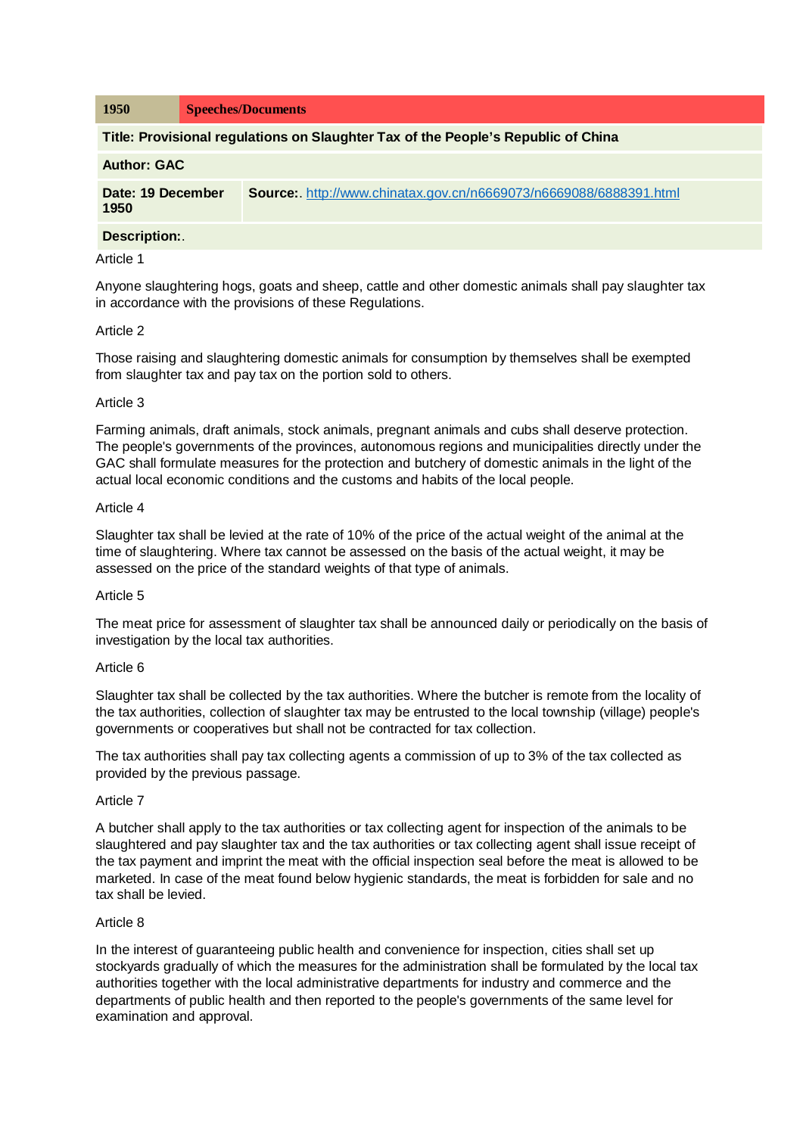| <b>1950</b>                                                                       | <b>Speeches/Documents</b>                                                |
|-----------------------------------------------------------------------------------|--------------------------------------------------------------------------|
| Title: Provisional regulations on Slaughter Tax of the People's Republic of China |                                                                          |
| <b>Author: GAC</b>                                                                |                                                                          |
| Date: 19 December<br>1950                                                         | <b>Source:</b> http://www.chinatax.gov.cn/n6669073/n6669088/6888391.html |
| Description:.                                                                     |                                                                          |

# Article 1

Anyone slaughtering hogs, goats and sheep, cattle and other domestic animals shall pay slaughter tax in accordance with the provisions of these Regulations.

## Article 2

Those raising and slaughtering domestic animals for consumption by themselves shall be exempted from slaughter tax and pay tax on the portion sold to others.

## Article 3

Farming animals, draft animals, stock animals, pregnant animals and cubs shall deserve protection. The people's governments of the provinces, autonomous regions and municipalities directly under the GAC shall formulate measures for the protection and butchery of domestic animals in the light of the actual local economic conditions and the customs and habits of the local people.

## Article 4

Slaughter tax shall be levied at the rate of 10% of the price of the actual weight of the animal at the time of slaughtering. Where tax cannot be assessed on the basis of the actual weight, it may be assessed on the price of the standard weights of that type of animals.

# Article 5

The meat price for assessment of slaughter tax shall be announced daily or periodically on the basis of investigation by the local tax authorities.

#### Article 6

Slaughter tax shall be collected by the tax authorities. Where the butcher is remote from the locality of the tax authorities, collection of slaughter tax may be entrusted to the local township (village) people's governments or cooperatives but shall not be contracted for tax collection.

The tax authorities shall pay tax collecting agents a commission of up to 3% of the tax collected as provided by the previous passage.

#### Article 7

A butcher shall apply to the tax authorities or tax collecting agent for inspection of the animals to be slaughtered and pay slaughter tax and the tax authorities or tax collecting agent shall issue receipt of the tax payment and imprint the meat with the official inspection seal before the meat is allowed to be marketed. In case of the meat found below hygienic standards, the meat is forbidden for sale and no tax shall be levied.

#### Article 8

In the interest of guaranteeing public health and convenience for inspection, cities shall set up stockyards gradually of which the measures for the administration shall be formulated by the local tax authorities together with the local administrative departments for industry and commerce and the departments of public health and then reported to the people's governments of the same level for examination and approval.